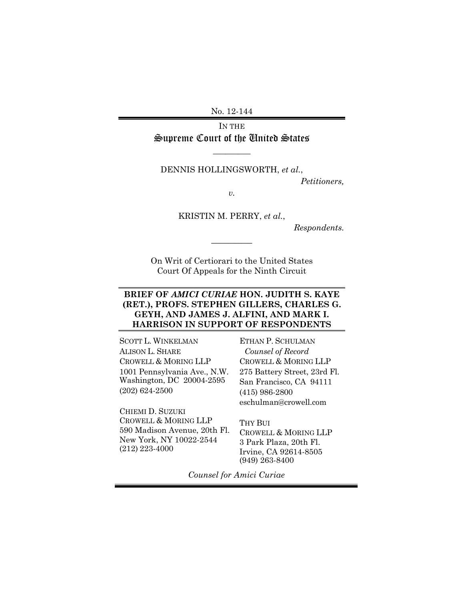No. 12-144

IN THE Supreme Court of the United States

 $\overline{\phantom{a}}$ 

#### DENNIS HOLLINGSWORTH, *et al.*,

*Petitioners,* 

*v.* 

KRISTIN M. PERRY, *et al.*,

*Respondents.* 

On Writ of Certiorari to the United States Court Of Appeals for the Ninth Circuit

 $\overline{\phantom{a}}$ 

#### **BRIEF OF** *AMICI CURIAE* **HON. JUDITH S. KAYE (RET.), PROFS. STEPHEN GILLERS, CHARLES G. GEYH, AND JAMES J. ALFINI, AND MARK I. HARRISON IN SUPPORT OF RESPONDENTS**

SCOTT L. WINKELMAN ALISON L. SHARE CROWELL & MORING LLP 1001 Pennsylvania Ave., N.W. Washington, DC 20004-2595 (202) 624-2500

CHIEMI D. SUZUKI CROWELL & MORING LLP 590 Madison Avenue, 20th Fl. New York, NY 10022-2544 (212) 223-4000

ETHAN P. SCHULMAN *Counsel of Record*  CROWELL & MORING LLP 275 Battery Street, 23rd Fl. San Francisco, CA 94111 (415) 986-2800 eschulman@crowell.com

THY BIII CROWELL & MORING LLP 3 Park Plaza, 20th Fl. Irvine, CA 92614-8505 (949) 263-8400

*Counsel for Amici Curiae*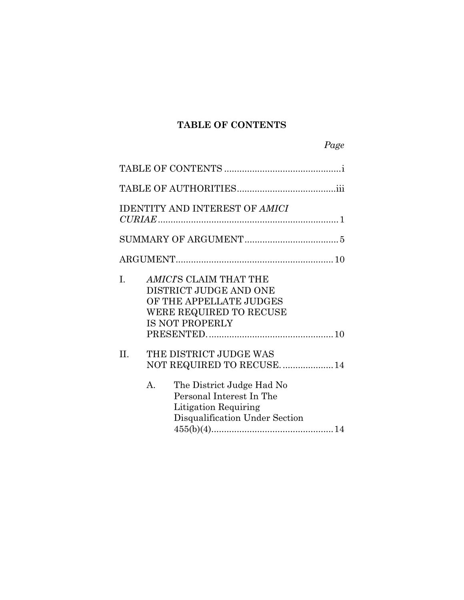## **TABLE OF CONTENTS**

|     | <b>IDENTITY AND INTEREST OF AMICI</b>                                                                                                                                          |  |
|-----|--------------------------------------------------------------------------------------------------------------------------------------------------------------------------------|--|
|     |                                                                                                                                                                                |  |
|     |                                                                                                                                                                                |  |
| I.  | AMICI'S CLAIM THAT THE<br>DISTRICT JUDGE AND ONE<br>OF THE APPELLATE JUDGES<br>WERE REQUIRED TO RECUSE<br><b>IS NOT PROPERLY</b>                                               |  |
| II. | THE DISTRICT JUDGE WAS<br>NOT REQUIRED TO RECUSE.  14<br>A.<br>The District Judge Had No<br>Personal Interest In The<br>Litigation Requiring<br>Disqualification Under Section |  |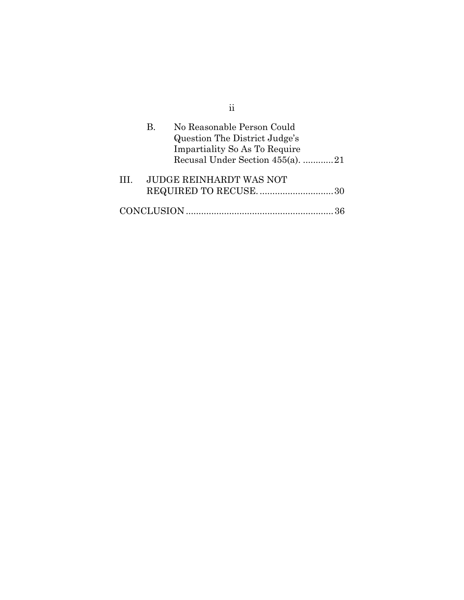|              | No Reasonable Person Could<br>В.<br>Question The District Judge's<br><b>Impartiality So As To Require</b><br>Recusal Under Section 455(a). 21 |  |
|--------------|-----------------------------------------------------------------------------------------------------------------------------------------------|--|
| $\mathbf{H}$ | <b>JUDGE REINHARDT WAS NOT</b>                                                                                                                |  |
|              |                                                                                                                                               |  |

ii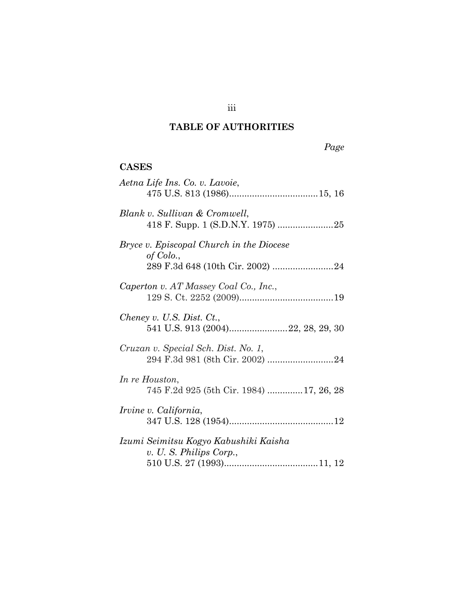## **TABLE OF AUTHORITIES**

iii

# *Page*

## **CASES**

| Aetna Life Ins. Co. v. Lavoie,                                  |
|-----------------------------------------------------------------|
| Blank v. Sullivan & Cromwell,                                   |
| <i>Bryce v. Episcopal Church in the Diocese</i><br>of Colo.,    |
| Caperton v. AT Massey Coal Co., Inc.,                           |
| Cheney v. U.S. Dist. Ct.,<br>541 U.S. 913 (2004)22, 28, 29, 30  |
| Cruzan v. Special Sch. Dist. No. 1,                             |
| In re Houston,<br>745 F.2d 925 (5th Cir. 1984) 17, 26, 28       |
| <i>Irvine v. California,</i>                                    |
| Izumi Seimitsu Kogyo Kabushiki Kaisha<br>v. U.S. Philips Corp., |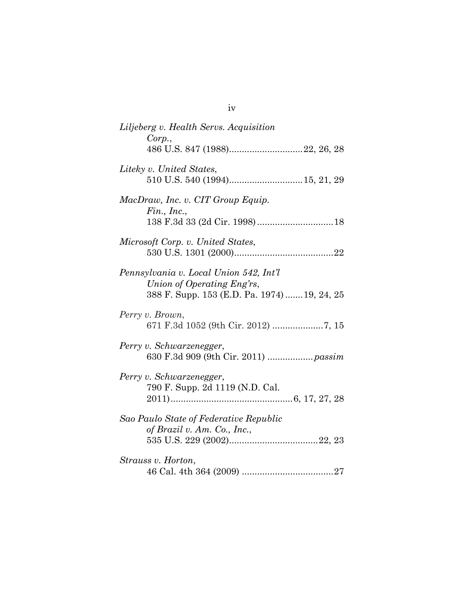| Liljeberg v. Health Servs. Acquisition                                                                               |
|----------------------------------------------------------------------------------------------------------------------|
| Corp.,<br>486 U.S. 847 (1988)22, 26, 28                                                                              |
| Liteky v. United States,                                                                                             |
| MacDraw, Inc. v. CIT Group Equip.<br>$Fin.$ , Inc.,                                                                  |
| Microsoft Corp. v. United States,                                                                                    |
|                                                                                                                      |
| Pennsylvania v. Local Union 542, Int'l<br>Union of Operating Eng'rs,<br>388 F. Supp. 153 (E.D. Pa. 1974)  19, 24, 25 |
| Perry v. Brown,                                                                                                      |
| Perry v. Schwarzenegger,<br>630 F.3d 909 (9th Cir. 2011)  passim                                                     |
| Perry v. Schwarzenegger,<br>790 F. Supp. 2d 1119 (N.D. Cal.                                                          |
| Sao Paulo State of Federative Republic                                                                               |
| of Brazil v. Am. Co., Inc.,                                                                                          |
| Strauss v. Horton,                                                                                                   |
|                                                                                                                      |

iv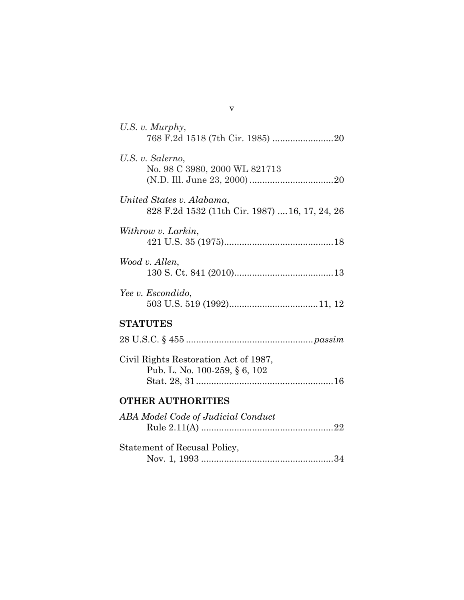| U.S. $v$ . Murphy,                                                          |
|-----------------------------------------------------------------------------|
| U.S. v. Salerno,<br>No. 98 C 3980, 2000 WL 821713                           |
| United States v. Alabama,<br>828 F.2d 1532 (11th Cir. 1987)  16, 17, 24, 26 |
| Withrow v. Larkin,                                                          |
| Wood v. Allen,                                                              |
| Yee v. Escondido,                                                           |
| <b>STATUTES</b>                                                             |
|                                                                             |
| Civil Rights Restoration Act of 1987,<br>Pub. L. No. 100-259, § 6, 102      |
| <b>OTHER AUTHORITIES</b>                                                    |
| ABA Model Code of Judicial Conduct                                          |
| Statement of Recusal Policy,                                                |

v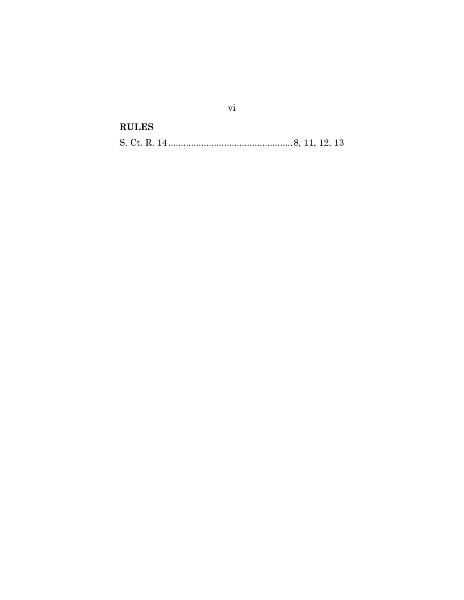**RULES**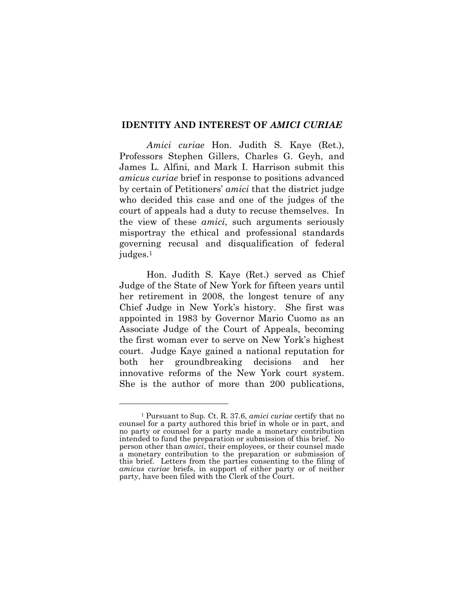#### **IDENTITY AND INTEREST OF** *AMICI CURIAE*

*Amici curiae* Hon. Judith S. Kaye (Ret.), Professors Stephen Gillers, Charles G. Geyh, and James L. Alfini, and Mark I. Harrison submit this *amicus curiae* brief in response to positions advanced by certain of Petitioners` *amici* that the district judge who decided this case and one of the judges of the court of appeals had a duty to recuse themselves. In the view of these *amici*, such arguments seriously misportray the ethical and professional standards governing recusal and disqualification of federal judges.1

Hon. Judith S. Kaye (Ret.) served as Chief Judge of the State of New York for fifteen years until her retirement in 2008, the longest tenure of any Chief Judge in New York`s history. She first was appointed in 1983 by Governor Mario Cuomo as an Associate Judge of the Court of Appeals, becoming the first woman ever to serve on New York`s highest court. Judge Kaye gained a national reputation for both her groundbreaking decisions and her innovative reforms of the New York court system. She is the author of more than 200 publications,

l

<sup>1</sup> Pursuant to Sup. Ct. R. 37.6, *amici curiae* certify that no counsel for a party authored this brief in whole or in part, and no party or counsel for a party made a monetary contribution intended to fund the preparation or submission of this brief. No person other than *amici*, their employees, or their counsel made a monetary contribution to the preparation or submission of this brief. Letters from the parties consenting to the filing of *amicus curiae* briefs, in support of either party or of neither party, have been filed with the Clerk of the Court.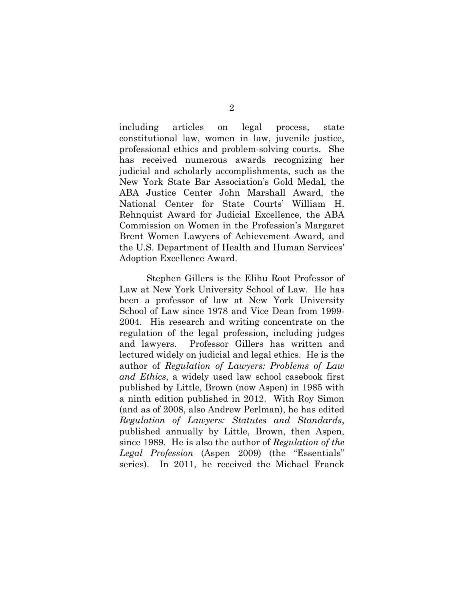including articles on legal process, state constitutional law, women in law, juvenile justice, professional ethics and problem-solving courts. She has received numerous awards recognizing her judicial and scholarly accomplishments, such as the New York State Bar Association`s Gold Medal, the ABA Justice Center John Marshall Award, the National Center for State Courts` William H. Rehnquist Award for Judicial Excellence, the ABA Commission on Women in the Profession`s Margaret Brent Women Lawyers of Achievement Award, and the U.S. Department of Health and Human Services` Adoption Excellence Award.

Stephen Gillers is the Elihu Root Professor of Law at New York University School of Law. He has been a professor of law at New York University School of Law since 1978 and Vice Dean from 1999- 2004. His research and writing concentrate on the regulation of the legal profession, including judges and lawyers. Professor Gillers has written and lectured widely on judicial and legal ethics. He is the author of *Regulation of Lawyers: Problems of Law and Ethics*, a widely used law school casebook first published by Little, Brown (now Aspen) in 1985 with a ninth edition published in 2012. With Roy Simon (and as of 2008, also Andrew Perlman), he has edited *Regulation of Lawyers: Statutes and Standards*, published annually by Little, Brown, then Aspen, since 1989. He is also the author of *Regulation of the Legal Profession* (Aspen 2009) (the "Essentials" series). In 2011, he received the Michael Franck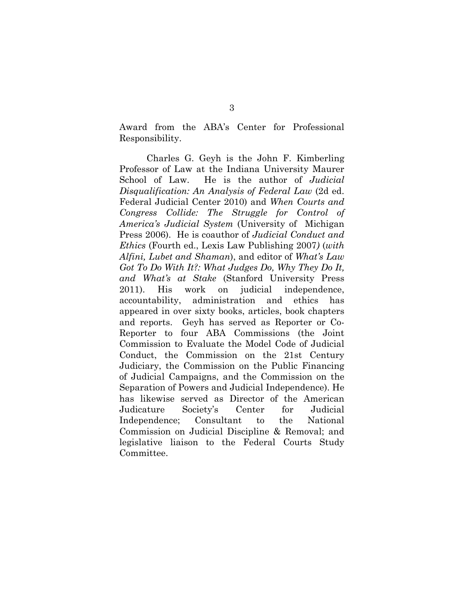Award from the ABA`s Center for Professional Responsibility.

Charles G. Geyh is the John F. Kimberling Professor of Law at the Indiana University Maurer School of Law. He is the author of *Judicial Disqualification: An Analysis of Federal Law* (2d ed. Federal Judicial Center 2010) and *When Courts and Congress Collide: The Struggle for Control of America's Judicial System* (University of Michigan Press 2006). He is coauthor of *Judicial Conduct and Ethics* (Fourth ed., Lexis Law Publishing 2007*)* (*with Alfini, Lubet and Shaman*), and editor of *What's Law Got To Do With It?: What Judges Do, Why They Do It, and What's at Stake* (Stanford University Press 2011). His work on judicial independence, accountability, administration and ethics has appeared in over sixty books, articles, book chapters and reports. Geyh has served as Reporter or Co-Reporter to four ABA Commissions (the Joint Commission to Evaluate the Model Code of Judicial Conduct, the Commission on the 21st Century Judiciary, the Commission on the Public Financing of Judicial Campaigns, and the Commission on the Separation of Powers and Judicial Independence). He has likewise served as Director of the American Judicature Society`s Center for Judicial Independence; Consultant to the National Commission on Judicial Discipline & Removal; and legislative liaison to the Federal Courts Study Committee.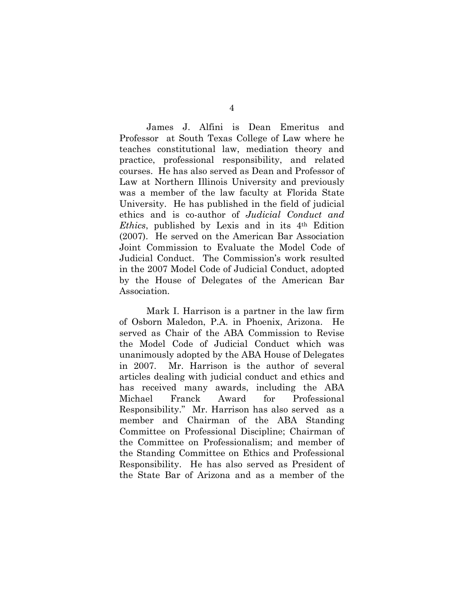James J. Alfini is Dean Emeritus and Professor at South Texas College of Law where he teaches constitutional law, mediation theory and practice, professional responsibility, and related courses. He has also served as Dean and Professor of Law at Northern Illinois University and previously was a member of the law faculty at Florida State University. He has published in the field of judicial ethics and is co-author of *Judicial Conduct and Ethics*, published by Lexis and in its 4th Edition (2007). He served on the American Bar Association Joint Commission to Evaluate the Model Code of Judicial Conduct. The Commission`s work resulted in the 2007 Model Code of Judicial Conduct, adopted by the House of Delegates of the American Bar Association.

Mark I. Harrison is a partner in the law firm of Osborn Maledon, P.A. in Phoenix, Arizona. He served as Chair of the ABA Commission to Revise the Model Code of Judicial Conduct which was unanimously adopted by the ABA House of Delegates in 2007. Mr. Harrison is the author of several articles dealing with judicial conduct and ethics and has received many awards, including the ABA Michael Franck Award for Professional Responsibility." Mr. Harrison has also served as a member and Chairman of the ABA Standing Committee on Professional Discipline; Chairman of the Committee on Professionalism; and member of the Standing Committee on Ethics and Professional Responsibility. He has also served as President of the State Bar of Arizona and as a member of the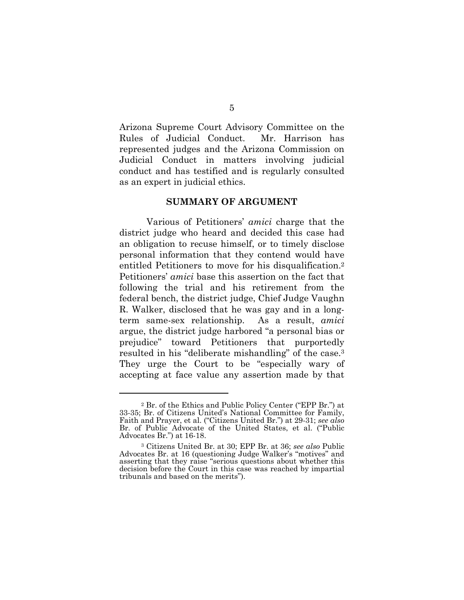Arizona Supreme Court Advisory Committee on the Rules of Judicial Conduct. Mr. Harrison has represented judges and the Arizona Commission on Judicial Conduct in matters involving judicial conduct and has testified and is regularly consulted as an expert in judicial ethics.

#### **SUMMARY OF ARGUMENT**

Various of Petitioners` *amici* charge that the district judge who heard and decided this case had an obligation to recuse himself, or to timely disclose personal information that they contend would have entitled Petitioners to move for his disqualification.2 Petitioners` *amici* base this assertion on the fact that following the trial and his retirement from the federal bench, the district judge, Chief Judge Vaughn R. Walker, disclosed that he was gay and in a longterm same-sex relationship. As a result, *amici* argue, the district judge harbored "a personal bias or prejudice" toward Petitioners that purportedly resulted in his "deliberate mishandling" of the case.<sup>3</sup> They urge the Court to be "especially wary of accepting at face value any assertion made by that

 $\overline{a}$ 

 $2$  Br. of the Ethics and Public Policy Center ("EPP Br.") at 33-35; Br. of Citizens United`s National Committee for Family, Faith and Prayer, et al. ("Citizens United Br.") at 29-31; see also Br. of Public Advocate of the United States, et al. ("Public Advocates Br.") at 16-18.

<sup>3</sup> Citizens United Br. at 30; EPP Br. at 36; *see also* Public Advocates Br. at 16 (questioning Judge Walker's "motives" and asserting that they raise "serious questions about whether this decision before the Court in this case was reached by impartial tribunals and based on the merits").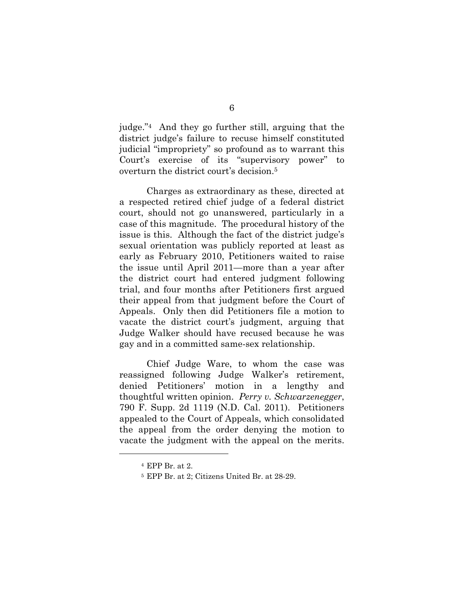judge."<sup>4</sup> And they go further still, arguing that the district judge`s failure to recuse himself constituted judicial "impropriety" so profound as to warrant this Court's exercise of its "supervisory power" to overturn the district court`s decision.5

Charges as extraordinary as these, directed at a respected retired chief judge of a federal district court, should not go unanswered, particularly in a case of this magnitude. The procedural history of the issue is this. Although the fact of the district judge`s sexual orientation was publicly reported at least as early as February 2010, Petitioners waited to raise the issue until April 2011—more than a year after the district court had entered judgment following trial, and four months after Petitioners first argued their appeal from that judgment before the Court of Appeals. Only then did Petitioners file a motion to vacate the district court`s judgment, arguing that Judge Walker should have recused because he was gay and in a committed same-sex relationship.

Chief Judge Ware, to whom the case was reassigned following Judge Walker`s retirement, denied Petitioners` motion in a lengthy and thoughtful written opinion. *Perry v. Schwarzenegger*, 790 F. Supp. 2d 1119 (N.D. Cal. 2011). Petitioners appealed to the Court of Appeals, which consolidated the appeal from the order denying the motion to vacate the judgment with the appeal on the merits.

l

<sup>4</sup> EPP Br. at 2.

<sup>5</sup> EPP Br. at 2; Citizens United Br. at 28-29.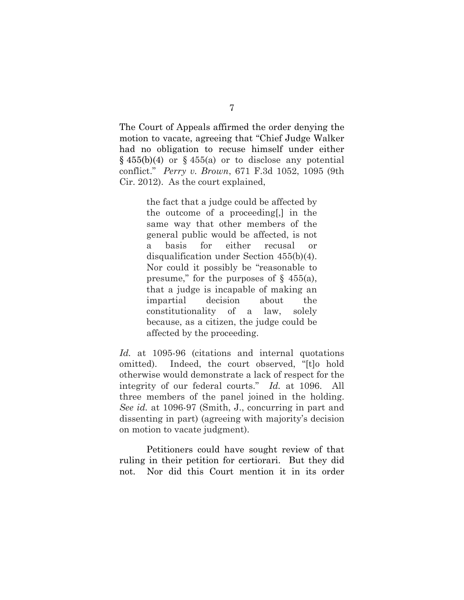The Court of Appeals affirmed the order denying the motion to vacate, agreeing that "Chief Judge Walker" had no obligation to recuse himself under either  $\S$  455(b)(4) or  $\S$  455(a) or to disclose any potential conflict.j *Perry v. Brown*, 671 F.3d 1052, 1095 (9th Cir. 2012). As the court explained,

> the fact that a judge could be affected by the outcome of a proceeding[,] in the same way that other members of the general public would be affected, is not a basis for either recusal or disqualification under Section 455(b)(4). Nor could it possibly be "reasonable to" presume," for the purposes of  $\S$  455(a), that a judge is incapable of making an impartial decision about the constitutionality of a law, solely because, as a citizen, the judge could be affected by the proceeding.

*Id.* at 1095-96 (citations and internal quotations omitted). Indeed, the court observed, "[t]o hold otherwise would demonstrate a lack of respect for the integrity of our federal courts." *Id.* at 1096. All three members of the panel joined in the holding. *See id.* at 1096-97 (Smith, J., concurring in part and dissenting in part) (agreeing with majority`s decision on motion to vacate judgment).

Petitioners could have sought review of that ruling in their petition for certiorari. But they did not. Nor did this Court mention it in its order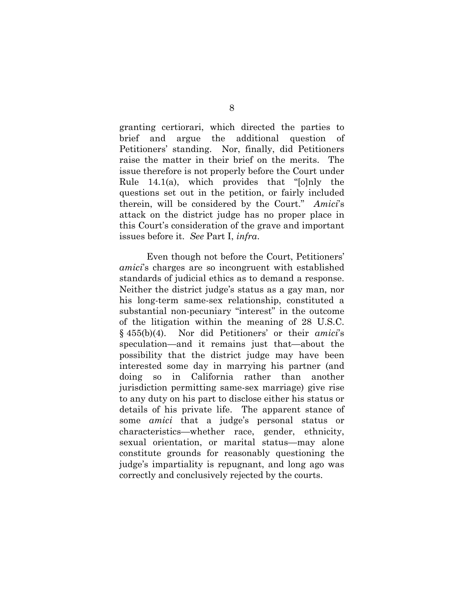granting certiorari, which directed the parties to brief and argue the additional question of Petitioners` standing. Nor, finally, did Petitioners raise the matter in their brief on the merits. The issue therefore is not properly before the Court under Rule 14.1(a), which provides that " $[0]$ nly the questions set out in the petition, or fairly included therein, will be considered by the Court." Amici's attack on the district judge has no proper place in this Court`s consideration of the grave and important issues before it. *See* Part I, *infra*.

Even though not before the Court, Petitioners` *amici*`s charges are so incongruent with established standards of judicial ethics as to demand a response. Neither the district judge`s status as a gay man, nor his long-term same-sex relationship, constituted a substantial non-pecuniary "interest" in the outcome of the litigation within the meaning of 28 U.S.C. § 455(b)(4). Nor did Petitioners` or their *amici*`s speculation—and it remains just that—about the possibility that the district judge may have been interested some day in marrying his partner (and doing so in California rather than another jurisdiction permitting same-sex marriage) give rise to any duty on his part to disclose either his status or details of his private life. The apparent stance of some *amici* that a judge`s personal status or characteristics—whether race, gender, ethnicity, sexual orientation, or marital status—may alone constitute grounds for reasonably questioning the judge`s impartiality is repugnant, and long ago was correctly and conclusively rejected by the courts.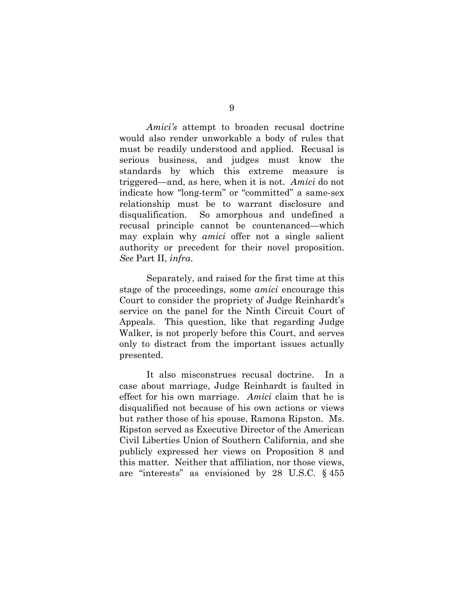*Amici's* attempt to broaden recusal doctrine would also render unworkable a body of rules that must be readily understood and applied. Recusal is serious business, and judges must know the standards by which this extreme measure is triggered—and, as here, when it is not. *Amici* do not indicate how "long-term" or "committed" a same-sex relationship must be to warrant disclosure and disqualification. So amorphous and undefined a recusal principle cannot be countenanced—which may explain why *amici* offer not a single salient authority or precedent for their novel proposition. *See* Part II, *infra*.

Separately, and raised for the first time at this stage of the proceedings, some *amici* encourage this Court to consider the propriety of Judge Reinhardt`s service on the panel for the Ninth Circuit Court of Appeals. This question, like that regarding Judge Walker, is not properly before this Court, and serves only to distract from the important issues actually presented.

It also misconstrues recusal doctrine. In a case about marriage, Judge Reinhardt is faulted in effect for his own marriage. *Amici* claim that he is disqualified not because of his own actions or views but rather those of his spouse, Ramona Ripston. Ms. Ripston served as Executive Director of the American Civil Liberties Union of Southern California, and she publicly expressed her views on Proposition 8 and this matter. Neither that affiliation, nor those views, are "interests" as envisioned by 28 U.S.C.  $\&$  455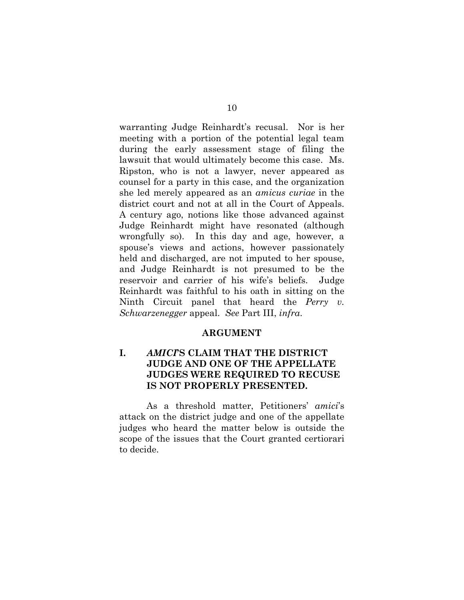warranting Judge Reinhardt`s recusal. Nor is her meeting with a portion of the potential legal team during the early assessment stage of filing the lawsuit that would ultimately become this case. Ms. Ripston, who is not a lawyer, never appeared as counsel for a party in this case, and the organization she led merely appeared as an *amicus curiae* in the district court and not at all in the Court of Appeals. A century ago, notions like those advanced against Judge Reinhardt might have resonated (although wrongfully so). In this day and age, however, a spouse`s views and actions, however passionately held and discharged, are not imputed to her spouse, and Judge Reinhardt is not presumed to be the reservoir and carrier of his wife`s beliefs. Judge Reinhardt was faithful to his oath in sitting on the Ninth Circuit panel that heard the *Perry v. Schwarzenegger* appeal. *See* Part III, *infra*.

#### **ARGUMENT**

### **I.** *AMICI***;S CLAIM THAT THE DISTRICT JUDGE AND ONE OF THE APPELLATE JUDGES WERE REQUIRED TO RECUSE IS NOT PROPERLY PRESENTED.**

As a threshold matter, Petitioners` *amici*`s attack on the district judge and one of the appellate judges who heard the matter below is outside the scope of the issues that the Court granted certiorari to decide.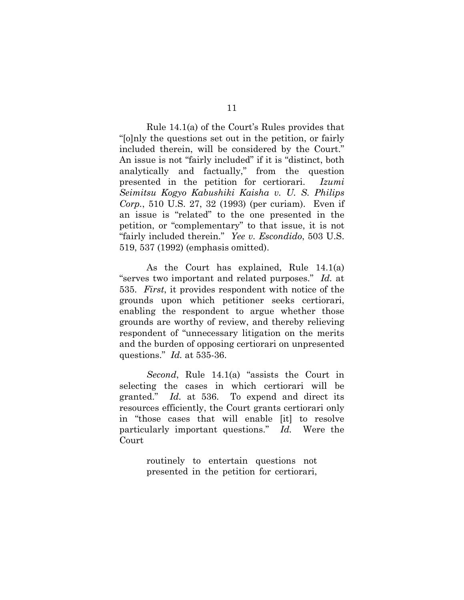Rule 14.1(a) of the Court`s Rules provides that "[o]nly the questions set out in the petition, or fairly included therein, will be considered by the Court." An issue is not "fairly included" if it is "distinct, both analytically and factually," from the question presented in the petition for certiorari. *Izumi Seimitsu Kogyo Kabushiki Kaisha v. U. S. Philips Corp.*, 510 U.S. 27, 32 (1993) (per curiam). Even if an issue is "related" to the one presented in the petition, or "complementary" to that issue, it is not ifairly included therein.j *Yee v. Escondido*, 503 U.S. 519, 537 (1992) (emphasis omitted).

As the Court has explained, Rule 14.1(a) "serves two important and related purposes." *Id.* at 535. *First*, it provides respondent with notice of the grounds upon which petitioner seeks certiorari, enabling the respondent to argue whether those grounds are worthy of review, and thereby relieving respondent of "unnecessary litigation on the merits and the burden of opposing certiorari on unpresented questions." *Id.* at 535-36.

*Second*, Rule 14.1(a) "assists the Court in selecting the cases in which certiorari will be granted." *Id.* at 536. To expend and direct its resources efficiently, the Court grants certiorari only in "those cases that will enable [it] to resolve particularly important questions." *Id.* Were the Court

> routinely to entertain questions not presented in the petition for certiorari,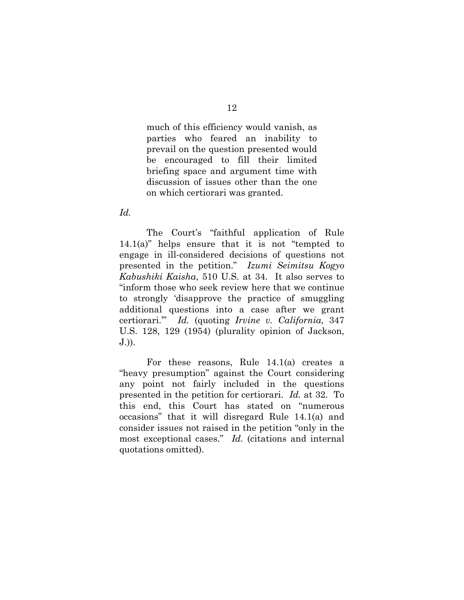much of this efficiency would vanish, as parties who feared an inability to prevail on the question presented would be encouraged to fill their limited briefing space and argument time with discussion of issues other than the one on which certiorari was granted.

*Id.*

The Court's "faithful application of Rule  $14.1(a)$ " helps ensure that it is not "tempted to engage in ill-considered decisions of questions not presented in the petition." *Izumi Seimitsu Kogyo Kabushiki Kaisha*, 510 U.S. at 34. It also serves to "inform those who seek review here that we continue to strongly 'disapprove the practice of smuggling additional questions into a case after we grant certiorari.`j *Id.* (quoting *Irvine v. California*, 347 U.S. 128, 129 (1954) (plurality opinion of Jackson, J.)).

For these reasons, Rule 14.1(a) creates a "heavy presumption" against the Court considering any point not fairly included in the questions presented in the petition for certiorari. *Id.* at 32. To this end, this Court has stated on "numerous" occasions" that it will disregard Rule  $14.1(a)$  and consider issues not raised in the petition "only in the most exceptional cases." *Id.* (citations and internal quotations omitted).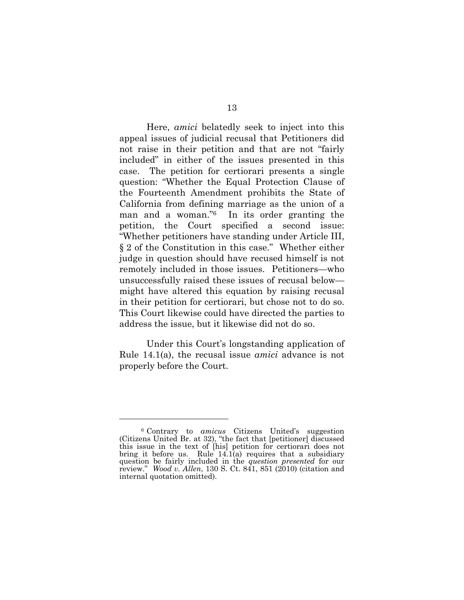Here, *amici* belatedly seek to inject into this appeal issues of judicial recusal that Petitioners did not raise in their petition and that are not "fairly" included" in either of the issues presented in this case. The petition for certiorari presents a single question: "Whether the Equal Protection Clause of the Fourteenth Amendment prohibits the State of California from defining marriage as the union of a man and a woman." $6$  In its order granting the petition, the Court specified a second issue: iWhether petitioners have standing under Article III,  $§$  2 of the Constitution in this case." Whether either judge in question should have recused himself is not remotely included in those issues. Petitioners—who unsuccessfully raised these issues of recusal below might have altered this equation by raising recusal in their petition for certiorari, but chose not to do so. This Court likewise could have directed the parties to address the issue, but it likewise did not do so.

Under this Court`s longstanding application of Rule 14.1(a), the recusal issue *amici* advance is not properly before the Court.

 $\overline{a}$ 

<sup>6</sup> Contrary to *amicus* Citizens United`s suggestion (Citizens United Br. at 32), "the fact that [petitioner] discussed this issue in the text of [his] petition for certiorari does not bring it before us. Rule  $14.1(a)$  requires that a subsidiary question be fairly included in the *question presented* for our review." *Wood v. Allen*, 130 S. Ct. 841, 851 (2010) (citation and internal quotation omitted).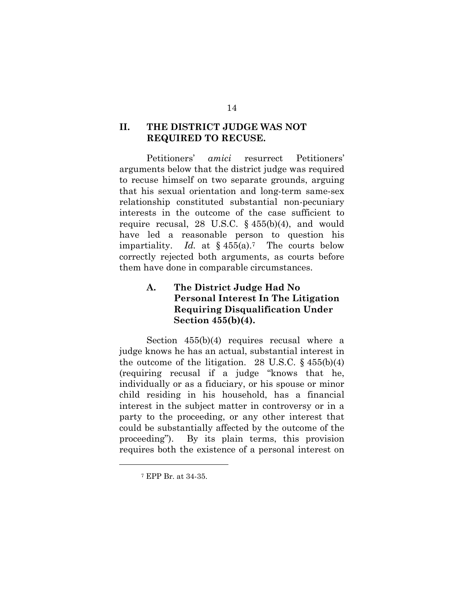### **II. THE DISTRICT JUDGE WAS NOT REQUIRED TO RECUSE.**

Petitioners` *amici* resurrect Petitioners` arguments below that the district judge was required to recuse himself on two separate grounds, arguing that his sexual orientation and long-term same-sex relationship constituted substantial non-pecuniary interests in the outcome of the case sufficient to require recusal, 28 U.S.C.  $\S$  455(b)(4), and would have led a reasonable person to question his impartiality. *Id.* at  $\S$  455(a).<sup>7</sup> The courts below correctly rejected both arguments, as courts before them have done in comparable circumstances.

## **A. The District Judge Had No Personal Interest In The Litigation Requiring Disqualification Under Section 455(b)(4).**

Section 455(b)(4) requires recusal where a judge knows he has an actual, substantial interest in the outcome of the litigation. 28 U.S.C.  $\S$  455(b)(4) (requiring recusal if a judge "knows that he, individually or as a fiduciary, or his spouse or minor child residing in his household, has a financial interest in the subject matter in controversy or in a party to the proceeding, or any other interest that could be substantially affected by the outcome of the proceeding"). By its plain terms, this provision requires both the existence of a personal interest on

 $\overline{a}$ 

<sup>7</sup> EPP Br. at 34-35.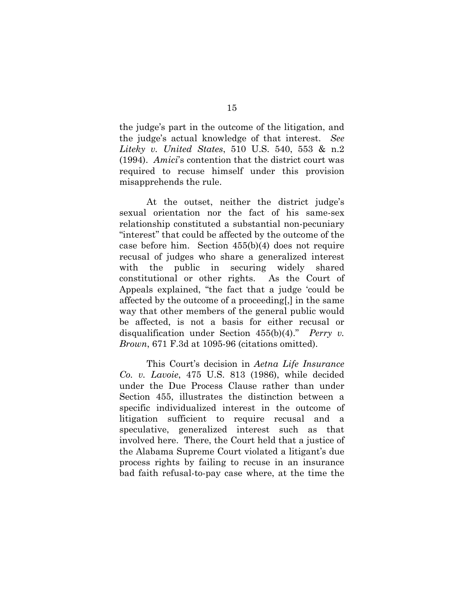the judge`s part in the outcome of the litigation, and the judge`s actual knowledge of that interest. *See Liteky v. United States*, 510 U.S. 540, 553 & n.2 (1994). *Amici*`s contention that the district court was required to recuse himself under this provision misapprehends the rule.

At the outset, neither the district judge`s sexual orientation nor the fact of his same-sex relationship constituted a substantial non-pecuniary "interest" that could be affected by the outcome of the case before him. Section 455(b)(4) does not require recusal of judges who share a generalized interest with the public in securing widely shared constitutional or other rights. As the Court of Appeals explained, "the fact that a judge 'could be affected by the outcome of a proceeding[,] in the same way that other members of the general public would be affected, is not a basis for either recusal or disqualification under Section  $455(b)(4)$ ." *Perry v. Brown*, 671 F.3d at 1095-96 (citations omitted).

This Court`s decision in *Aetna Life Insurance Co. v. Lavoie*, 475 U.S. 813 (1986), while decided under the Due Process Clause rather than under Section 455, illustrates the distinction between a specific individualized interest in the outcome of litigation sufficient to require recusal and a speculative, generalized interest such as that involved here. There, the Court held that a justice of the Alabama Supreme Court violated a litigant`s due process rights by failing to recuse in an insurance bad faith refusal-to-pay case where, at the time the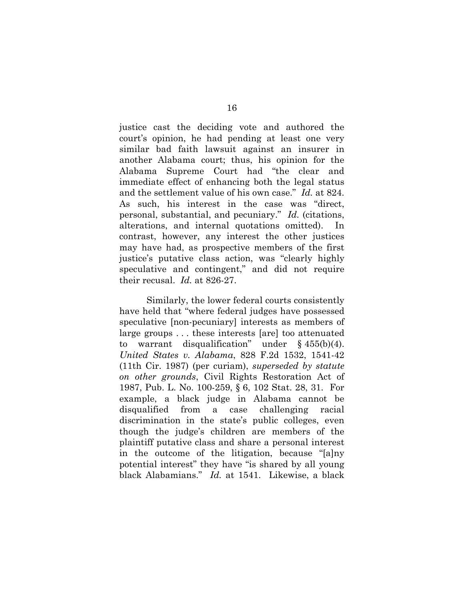justice cast the deciding vote and authored the court`s opinion, he had pending at least one very similar bad faith lawsuit against an insurer in another Alabama court; thus, his opinion for the Alabama Supreme Court had "the clear and immediate effect of enhancing both the legal status and the settlement value of his own case." *Id.* at 824. As such, his interest in the case was "direct, personal, substantial, and pecuniary." *Id.* (citations, alterations, and internal quotations omitted). In contrast, however, any interest the other justices may have had, as prospective members of the first justice's putative class action, was "clearly highly speculative and contingent," and did not require their recusal. *Id.* at 826-27.

Similarly, the lower federal courts consistently have held that "where federal judges have possessed speculative [non-pecuniary] interests as members of large groups . . . these interests [are] too attenuated to warrant disqualification" under  $\S$  455(b)(4). *United States v. Alabama*, 828 F.2d 1532, 1541-42 (11th Cir. 1987) (per curiam), *superseded by statute on other grounds*, Civil Rights Restoration Act of 1987, Pub. L. No. 100-259, § 6, 102 Stat. 28, 31. For example, a black judge in Alabama cannot be disqualified from a case challenging racial discrimination in the state`s public colleges, even though the judge`s children are members of the plaintiff putative class and share a personal interest in the outcome of the litigation, because "[a]ny potential interest" they have "is shared by all young black Alabamians." *Id.* at 1541. Likewise, a black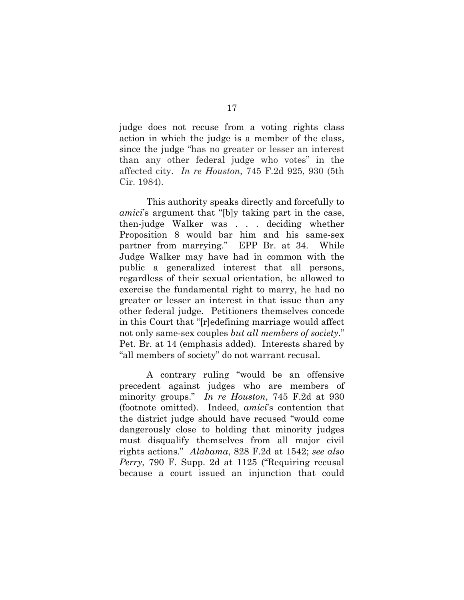judge does not recuse from a voting rights class action in which the judge is a member of the class, since the judge "has no greater or lesser an interest than any other federal judge who votes" in the affected city. *In re Houston*, 745 F.2d 925, 930 (5th Cir. 1984).

This authority speaks directly and forcefully to *amici*'s argument that "[b]y taking part in the case, then-judge Walker was . . . deciding whether Proposition 8 would bar him and his same-sex partner from marrying." EPP Br. at 34. While Judge Walker may have had in common with the public a generalized interest that all persons, regardless of their sexual orientation, be allowed to exercise the fundamental right to marry, he had no greater or lesser an interest in that issue than any other federal judge. Petitioners themselves concede in this Court that "[r]edefining marriage would affect not only same-sex couples *but all members of society*." Pet. Br. at 14 (emphasis added). Interests shared by "all members of society" do not warrant recusal.

A contrary ruling "would be an offensive precedent against judges who are members of minority groups." *In re Houston*, 745 F.2d at 930 (footnote omitted). Indeed, *amici*`s contention that the district judge should have recused "would come dangerously close to holding that minority judges must disqualify themselves from all major civil rights actions.j *Alabama*, 828 F.2d at 1542; *see also Perry*, 790 F. Supp. 2d at 1125 ("Requiring recusal because a court issued an injunction that could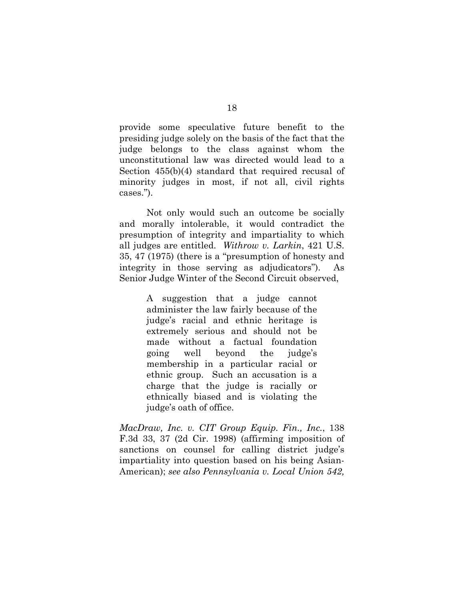provide some speculative future benefit to the presiding judge solely on the basis of the fact that the judge belongs to the class against whom the unconstitutional law was directed would lead to a Section 455(b)(4) standard that required recusal of minority judges in most, if not all, civil rights cases.").

Not only would such an outcome be socially and morally intolerable, it would contradict the presumption of integrity and impartiality to which all judges are entitled. *Withrow v. Larkin*, 421 U.S.  $35, 47$   $(1975)$  (there is a "presumption of honesty and integrity in those serving as adjudicators"). As Senior Judge Winter of the Second Circuit observed,

> A suggestion that a judge cannot administer the law fairly because of the judge`s racial and ethnic heritage is extremely serious and should not be made without a factual foundation going well beyond the judge`s membership in a particular racial or ethnic group. Such an accusation is a charge that the judge is racially or ethnically biased and is violating the judge`s oath of office.

*MacDraw, Inc. v. CIT Group Equip. Fin., Inc.*, 138 F.3d 33, 37 (2d Cir. 1998) (affirming imposition of sanctions on counsel for calling district judge`s impartiality into question based on his being Asian-American); *see also Pennsylvania v. Local Union 542,*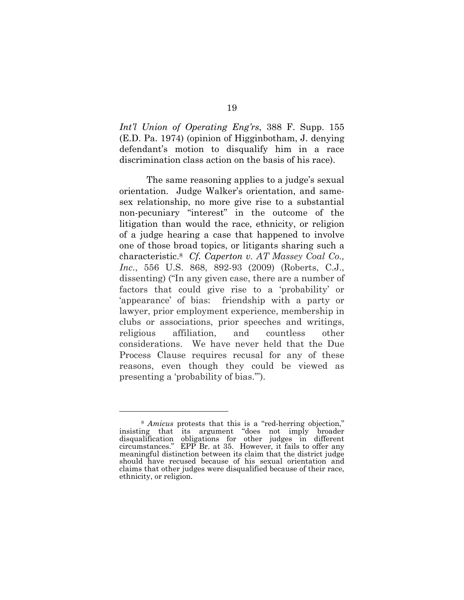*Int'l Union of Operating Eng'rs*, 388 F. Supp. 155 (E.D. Pa. 1974) (opinion of Higginbotham, J. denying defendant`s motion to disqualify him in a race discrimination class action on the basis of his race).

The same reasoning applies to a judge`s sexual orientation. Judge Walker`s orientation, and samesex relationship, no more give rise to a substantial non-pecuniary "interest" in the outcome of the litigation than would the race, ethnicity, or religion of a judge hearing a case that happened to involve one of those broad topics, or litigants sharing such a characteristic.8 *Cf. Caperton v. AT Massey Coal Co., Inc.*, 556 U.S. 868, 892-93 (2009) (Roberts, C.J., dissenting) ("In any given case, there are a number of factors that could give rise to a 'probability' or 'appearance' of bias: friendship with a party or lawyer, prior employment experience, membership in clubs or associations, prior speeches and writings, religious affiliation, and countless other considerations. We have never held that the Due Process Clause requires recusal for any of these reasons, even though they could be viewed as presenting a 'probability of bias.").

 $\overline{a}$ 

<sup>&</sup>lt;sup>8</sup> *Amicus* protests that this is a "red-herring objection," insisting that its argument "does not imply broader disqualification obligations for other judges in different circumstances." EPP Br. at 35. However, it fails to offer any meaningful distinction between its claim that the district judge should have recused because of his sexual orientation and claims that other judges were disqualified because of their race, ethnicity, or religion.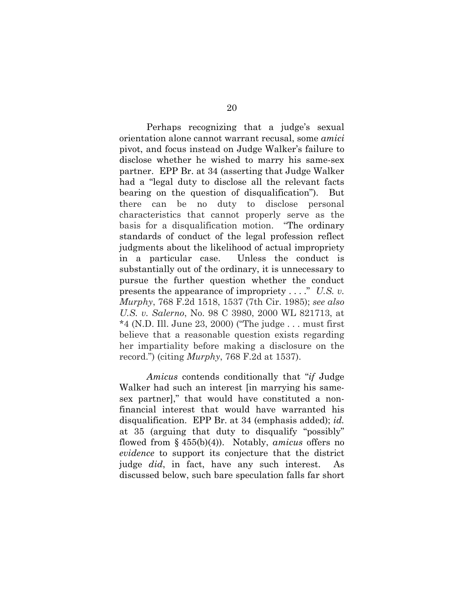Perhaps recognizing that a judge`s sexual orientation alone cannot warrant recusal, some *amici* pivot, and focus instead on Judge Walker`s failure to disclose whether he wished to marry his same-sex partner. EPP Br. at 34 (asserting that Judge Walker had a "legal duty to disclose all the relevant facts" bearing on the question of disqualification". But there can be no duty to disclose personal characteristics that cannot properly serve as the basis for a disqualification motion. "The ordinary standards of conduct of the legal profession reflect judgments about the likelihood of actual impropriety in a particular case. Unless the conduct is substantially out of the ordinary, it is unnecessary to pursue the further question whether the conduct presents the appearance of impropriety  $\dots$ ." *U.S. v. Murphy*, 768 F.2d 1518, 1537 (7th Cir. 1985); *see also U.S. v. Salerno*, No. 98 C 3980, 2000 WL 821713, at  $*4$  (N.D. Ill. June 23, 2000) ("The judge ... must first believe that a reasonable question exists regarding her impartiality before making a disclosure on the record.j) (citing *Murphy*, 768 F.2d at 1537).

Amicus contends conditionally that "*if* Judge" Walker had such an interest [in marrying his samesex partner]," that would have constituted a nonfinancial interest that would have warranted his disqualification. EPP Br. at 34 (emphasis added); *id.* at 35 (arguing that duty to disqualify "possibly" flowed from § 455(b)(4)). Notably, *amicus* offers no *evidence* to support its conjecture that the district judge *did*, in fact, have any such interest. As discussed below, such bare speculation falls far short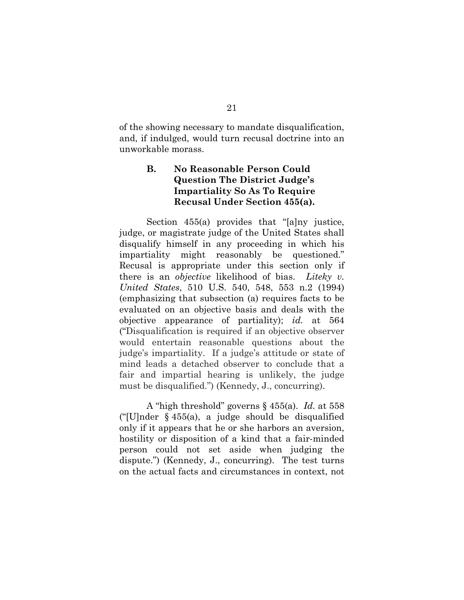of the showing necessary to mandate disqualification, and, if indulged, would turn recusal doctrine into an unworkable morass.

### **B. No Reasonable Person Could Question The District Judge;s Impartiality So As To Require Recusal Under Section 455(a).**

Section  $455(a)$  provides that "[a]ny justice, judge, or magistrate judge of the United States shall disqualify himself in any proceeding in which his impartiality might reasonably be questioned." Recusal is appropriate under this section only if there is an *objective* likelihood of bias. *Liteky v. United States*, 510 U.S. 540, 548, 553 n.2 (1994) (emphasizing that subsection (a) requires facts to be evaluated on an objective basis and deals with the objective appearance of partiality); *id.* at 564 ("Disqualification is required if an objective observer would entertain reasonable questions about the judge`s impartiality. If a judge`s attitude or state of mind leads a detached observer to conclude that a fair and impartial hearing is unlikely, the judge must be disqualified.") (Kennedy, J., concurring).

A "high threshold" governs § 455(a). *Id.* at 558 ("[U]nder  $\S$  455(a), a judge should be disqualified only if it appears that he or she harbors an aversion, hostility or disposition of a kind that a fair-minded person could not set aside when judging the dispute.") (Kennedy, J., concurring). The test turns on the actual facts and circumstances in context, not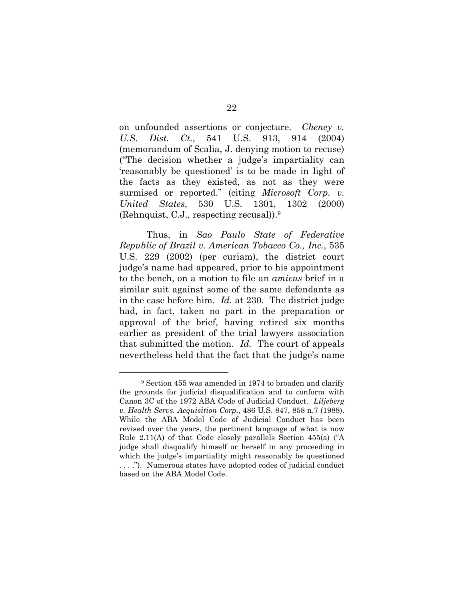on unfounded assertions or conjecture. *Cheney v. U.S. Dist. Ct.*, 541 U.S. 913, 914 (2004) (memorandum of Scalia, J. denying motion to recuse) (iThe decision whether a judge`s impartiality can 'reasonably be questioned' is to be made in light of the facts as they existed, as not as they were surmised or reported." (citing *Microsoft Corp. v. United States*, 530 U.S. 1301, 1302 (2000) (Rehnquist, C.J., respecting recusal)).9

Thus, in *Sao Paulo State of Federative Republic of Brazil v. American Tobacco Co., Inc.*, 535 U.S. 229 (2002) (per curiam), the district court judge`s name had appeared, prior to his appointment to the bench, on a motion to file an *amicus* brief in a similar suit against some of the same defendants as in the case before him. *Id.* at 230. The district judge had, in fact, taken no part in the preparation or approval of the brief, having retired six months earlier as president of the trial lawyers association that submitted the motion. *Id.* The court of appeals nevertheless held that the fact that the judge`s name

 <sup>9</sup> Section 455 was amended in 1974 to broaden and clarify the grounds for judicial disqualification and to conform with Canon 3C of the 1972 ABA Code of Judicial Conduct. *Liljeberg v. Health Servs. Acquisition Corp.*, 486 U.S. 847, 858 n.7 (1988). While the ABA Model Code of Judicial Conduct has been revised over the years, the pertinent language of what is now Rule 2.11(A) of that Code closely parallels Section  $455(a)$  ( $A$ ) judge shall disqualify himself or herself in any proceeding in which the judge's impartiality might reasonably be questioned ...."). Numerous states have adopted codes of judicial conduct based on the ABA Model Code.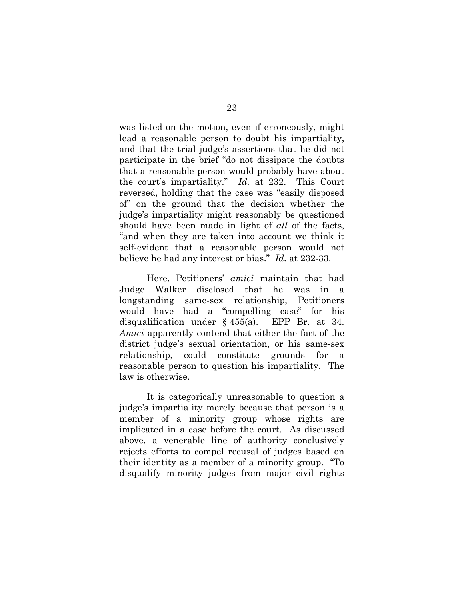was listed on the motion, even if erroneously, might lead a reasonable person to doubt his impartiality, and that the trial judge`s assertions that he did not participate in the brief "do not dissipate the doubts" that a reasonable person would probably have about the court's impartiality." *Id.* at 232. This Court reversed, holding that the case was "easily disposed of" on the ground that the decision whether the judge`s impartiality might reasonably be questioned should have been made in light of *all* of the facts, and when they are taken into account we think it self-evident that a reasonable person would not believe he had any interest or bias." *Id.* at 232-33.

Here, Petitioners` *amici* maintain that had Judge Walker disclosed that he was in longstanding same-sex relationship, Petitioners would have had a "compelling case" for his disqualification under § 455(a). EPP Br. at 34. *Amici* apparently contend that either the fact of the district judge`s sexual orientation, or his same-sex relationship, could constitute grounds for a reasonable person to question his impartiality. The law is otherwise.

It is categorically unreasonable to question a judge`s impartiality merely because that person is a member of a minority group whose rights are implicated in a case before the court. As discussed above, a venerable line of authority conclusively rejects efforts to compel recusal of judges based on their identity as a member of a minority group. "To disqualify minority judges from major civil rights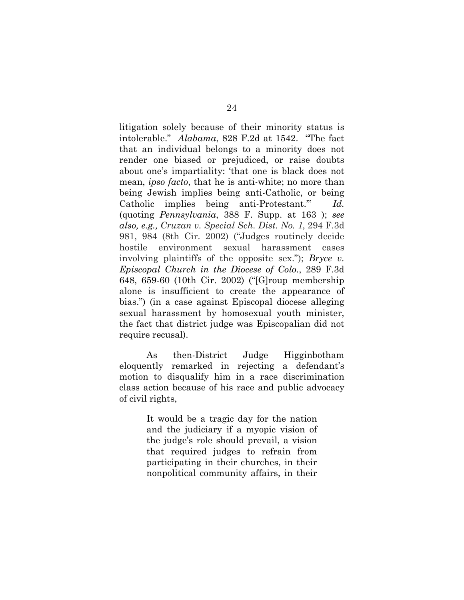litigation solely because of their minority status is intolerable." *Alabama*, 828 F.2d at 1542. "The fact that an individual belongs to a minority does not render one biased or prejudiced, or raise doubts about one's impartiality: 'that one is black does not mean, *ipso facto*, that he is anti-white; no more than being Jewish implies being anti-Catholic, or being Catholic implies being anti-Protestant.<sup>"</sup> *Id.* (quoting *Pennsylvania*, 388 F. Supp. at 163 ); *see also, e.g., Cruzan v. Special Sch. Dist. No. 1*, 294 F.3d 981, 984 (8th Cir. 2002) ("Judges routinely decide hostile environment sexual harassment cases involving plaintiffs of the opposite sex."); *Bryce v. Episcopal Church in the Diocese of Colo.*, 289 F.3d 648, 659-60 (10th Cir. 2002) ("[G]roup membership alone is insufficient to create the appearance of bias.") (in a case against Episcopal diocese alleging sexual harassment by homosexual youth minister, the fact that district judge was Episcopalian did not require recusal).

As then-District Judge Higginbotham eloquently remarked in rejecting a defendant`s motion to disqualify him in a race discrimination class action because of his race and public advocacy of civil rights,

> It would be a tragic day for the nation and the judiciary if a myopic vision of the judge`s role should prevail, a vision that required judges to refrain from participating in their churches, in their nonpolitical community affairs, in their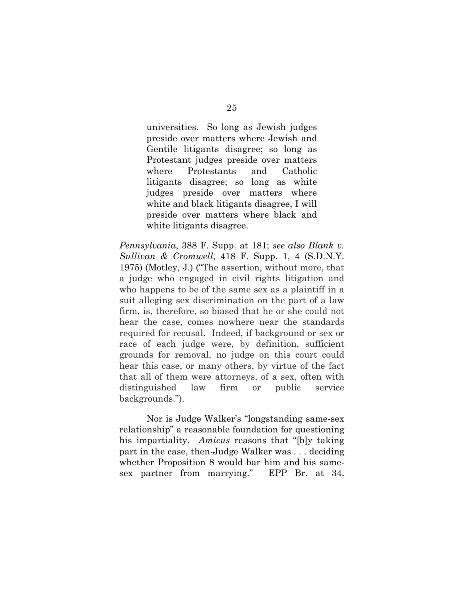universities. So long as Jewish judges preside over matters where Jewish and Gentile litigants disagree; so long as Protestant judges preside over matters where Protestants and Catholic litigants disagree; so long as white judges preside over matters where white and black litigants disagree, I will preside over matters where black and white litigants disagree.

*Pennsylvania*, 388 F. Supp. at 181; *see also Blank v. Sullivan & Cromwell*, 418 F. Supp. 1, 4 (S.D.N.Y. 1975) (Motley, J.) ("The assertion, without more, that a judge who engaged in civil rights litigation and who happens to be of the same sex as a plaintiff in a suit alleging sex discrimination on the part of a law firm, is, therefore, so biased that he or she could not hear the case, comes nowhere near the standards required for recusal. Indeed, if background or sex or race of each judge were, by definition, sufficient grounds for removal, no judge on this court could hear this case, or many others, by virtue of the fact that all of them were attorneys, of a sex, often with distinguished law firm or public service backgrounds.").

Nor is Judge Walker's "longstanding same-sex relationship" a reasonable foundation for questioning his impartiality. *Amicus* reasons that "[b]y taking part in the case, then-Judge Walker was . . . deciding whether Proposition 8 would bar him and his samesex partner from marrying." EPP Br. at  $34$ .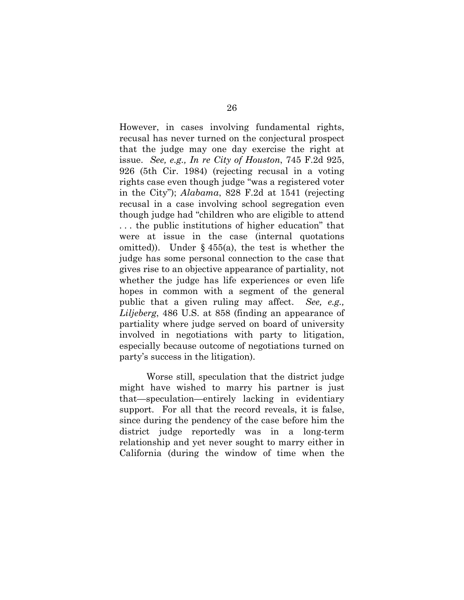However, in cases involving fundamental rights, recusal has never turned on the conjectural prospect that the judge may one day exercise the right at issue. *See, e.g., In re City of Houston*, 745 F.2d 925, 926 (5th Cir. 1984) (rejecting recusal in a voting rights case even though judge "was a registered voter in the City"); *Alabama*, 828 F.2d at 1541 (rejecting recusal in a case involving school segregation even though judge had "children who are eligible to attend ... the public institutions of higher education" that were at issue in the case (internal quotations omitted)). Under  $\S$  455(a), the test is whether the judge has some personal connection to the case that gives rise to an objective appearance of partiality, not whether the judge has life experiences or even life hopes in common with a segment of the general public that a given ruling may affect. *See, e.g., Liljeberg*, 486 U.S. at 858 (finding an appearance of partiality where judge served on board of university involved in negotiations with party to litigation, especially because outcome of negotiations turned on party`s success in the litigation).

Worse still, speculation that the district judge might have wished to marry his partner is just that—speculation—entirely lacking in evidentiary support. For all that the record reveals, it is false, since during the pendency of the case before him the district judge reportedly was in a long-term relationship and yet never sought to marry either in California (during the window of time when the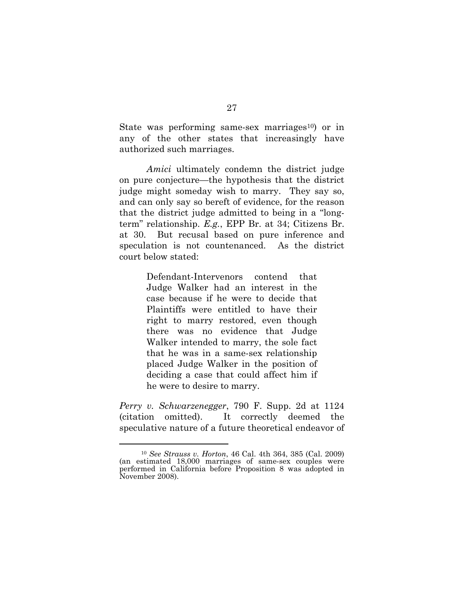State was performing same-sex marriages<sup>10</sup>) or in any of the other states that increasingly have authorized such marriages.

*Amici* ultimately condemn the district judge on pure conjecture—the hypothesis that the district judge might someday wish to marry. They say so, and can only say so bereft of evidence, for the reason that the district judge admitted to being in a "longterm" relationship. *E.g.*, EPP Br. at 34; Citizens Br. at 30. But recusal based on pure inference and speculation is not countenanced. As the district court below stated:

> Defendant-Intervenors contend that Judge Walker had an interest in the case because if he were to decide that Plaintiffs were entitled to have their right to marry restored, even though there was no evidence that Judge Walker intended to marry, the sole fact that he was in a same-sex relationship placed Judge Walker in the position of deciding a case that could affect him if he were to desire to marry.

*Perry v. Schwarzenegger*, 790 F. Supp. 2d at 1124 (citation omitted). It correctly deemed the speculative nature of a future theoretical endeavor of

 <sup>10</sup> *See Strauss v. Horton*, 46 Cal. 4th 364, 385 (Cal. 2009) (an estimated 18,000 marriages of same-sex couples were performed in California before Proposition 8 was adopted in November 2008).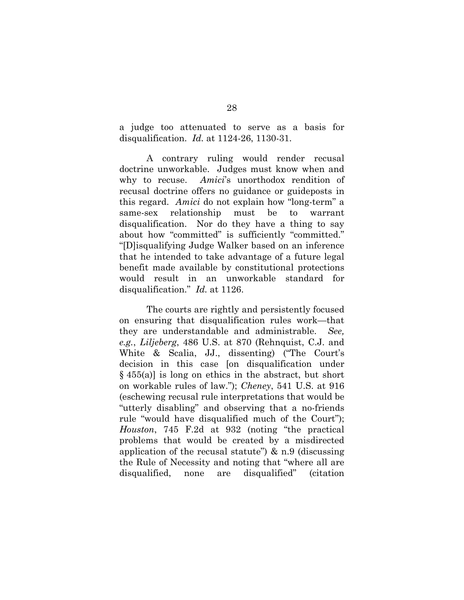a judge too attenuated to serve as a basis for disqualification. *Id.* at 1124-26, 1130-31.

A contrary ruling would render recusal doctrine unworkable. Judges must know when and why to recuse. *Amici*`s unorthodox rendition of recusal doctrine offers no guidance or guideposts in this regard. *Amici* do not explain how "long-term" a same-sex relationship must be to warrant disqualification. Nor do they have a thing to say about how "committed" is sufficiently "committed." i[D]isqualifying Judge Walker based on an inference that he intended to take advantage of a future legal benefit made available by constitutional protections would result in an unworkable standard for disqualification." *Id.* at 1126.

The courts are rightly and persistently focused on ensuring that disqualification rules work—that they are understandable and administrable. *See, e.g.*, *Liljeberg*, 486 U.S. at 870 (Rehnquist, C.J. and White  $\&$  Scalia, JJ., dissenting) ("The Court's decision in this case [on disqualification under  $§ 455(a)$  is long on ethics in the abstract, but short on workable rules of law."); *Cheney*, 541 U.S. at 916 (eschewing recusal rule interpretations that would be "utterly disabling" and observing that a no-friends rule "would have disqualified much of the Court"); *Houston*, 745 F.2d at 932 (noting "the practical problems that would be created by a misdirected application of the recusal statute")  $\&$  n.9 (discussing the Rule of Necessity and noting that "where all are disqualified, none are disqualified" (citation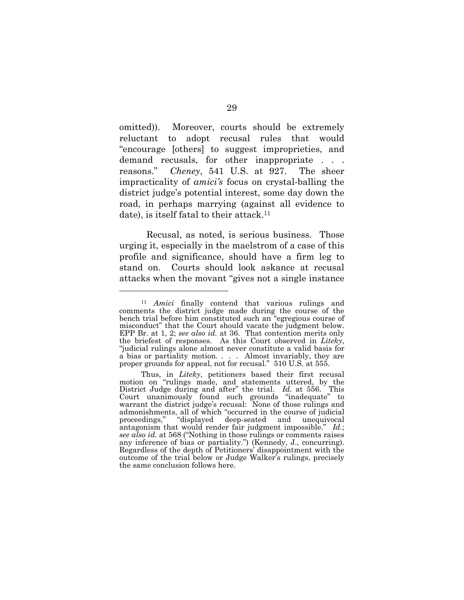omitted)). Moreover, courts should be extremely reluctant to adopt recusal rules that would iencourage [others] to suggest improprieties, and demand recusals, for other inappropriate . . . reasons." *Cheney*, 541 U.S. at 927. The sheer impracticality of *amici's* focus on crystal-balling the district judge`s potential interest, some day down the road, in perhaps marrying (against all evidence to date), is itself fatal to their attack.<sup>11</sup>

Recusal, as noted, is serious business. Those urging it, especially in the maelstrom of a case of this profile and significance, should have a firm leg to stand on. Courts should look askance at recusal attacks when the movant "gives not a single instance"

 $\overline{a}$ 

<sup>11</sup> *Amici* finally contend that various rulings and comments the district judge made during the course of the bench trial before him constituted such an "egregious course of misconduct" that the Court should vacate the judgment below. EPP Br. at 1, 2; *see also id.* at 36. That contention merits only "judicial rulings alone almost never constitute a valid basis for a bias or partiality motion. . . . Almost invariably, they are proper grounds for appeal, not for recusal." 510 U.S. at 555.

Thus, in *Liteky*, petitioners based their first recusal motion on irulings made, and statements uttered, by the District Judge during and after" the trial. *Id.* at 556. This Court unanimously found such grounds "inadequate" to warrant the district judge`s recusal: None of those rulings and admonishments, all of which "occurred in the course of judicial proceedings," "displayed deep-seated and unequivocal antagonism that would render fair judgment impossible." *Id.*; *see also id.* at 568 ("Nothing in those rulings or comments raises") any inference of bias or partiality.") (Kennedy, J., concurring). Regardless of the depth of Petitioners` disappointment with the outcome of the trial below or Judge Walker`s rulings, precisely the same conclusion follows here.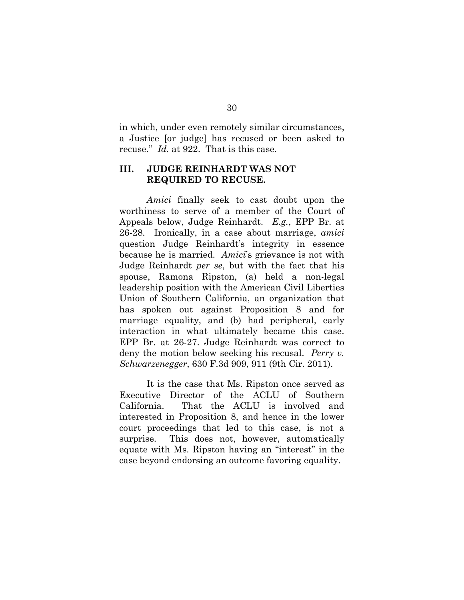in which, under even remotely similar circumstances, a Justice [or judge] has recused or been asked to recuse." *Id.* at 922. That is this case.

#### **III. JUDGE REINHARDT WAS NOT REQUIRED TO RECUSE.**

*Amici* finally seek to cast doubt upon the worthiness to serve of a member of the Court of Appeals below, Judge Reinhardt. *E.g.*, EPP Br. at 26-28. Ironically, in a case about marriage, *amici* question Judge Reinhardt`s integrity in essence because he is married. *Amici*`s grievance is not with Judge Reinhardt *per se*, but with the fact that his spouse, Ramona Ripston, (a) held a non-legal leadership position with the American Civil Liberties Union of Southern California, an organization that has spoken out against Proposition 8 and for marriage equality, and (b) had peripheral, early interaction in what ultimately became this case. EPP Br. at 26-27. Judge Reinhardt was correct to deny the motion below seeking his recusal. *Perry v. Schwarzenegger*, 630 F.3d 909, 911 (9th Cir. 2011).

It is the case that Ms. Ripston once served as Executive Director of the ACLU of Southern California. That the ACLU is involved and interested in Proposition 8, and hence in the lower court proceedings that led to this case, is not a surprise. This does not, however, automatically equate with Ms. Ripston having an "interest" in the case beyond endorsing an outcome favoring equality.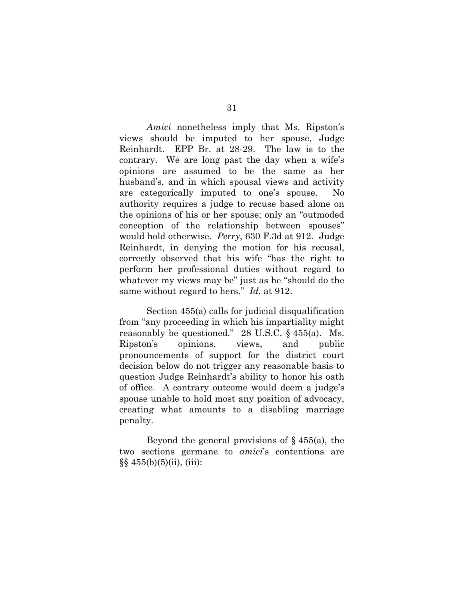*Amici* nonetheless imply that Ms. Ripston`s views should be imputed to her spouse, Judge Reinhardt. EPP Br. at 28-29. The law is to the contrary. We are long past the day when a wife`s opinions are assumed to be the same as her husband`s, and in which spousal views and activity are categorically imputed to one`s spouse. No authority requires a judge to recuse based alone on the opinions of his or her spouse; only an "outmoded" conception of the relationship between spouses" would hold otherwise. *Perry*, 630 F.3d at 912. Judge Reinhardt, in denying the motion for his recusal, correctly observed that his wife "has the right to perform her professional duties without regard to whatever my views may be" just as he "should do the same without regard to hers." *Id.* at 912.

Section 455(a) calls for judicial disqualification from "any proceeding in which his impartiality might reasonably be questioned." 28 U.S.C.  $\S$  455(a). Ms. Ripston`s opinions, views, and public pronouncements of support for the district court decision below do not trigger any reasonable basis to question Judge Reinhardt`s ability to honor his oath of office. A contrary outcome would deem a judge`s spouse unable to hold most any position of advocacy, creating what amounts to a disabling marriage penalty.

Beyond the general provisions of  $\S$  455(a), the two sections germane to *amici*`s contentions are  $\S\S 455(b)(5)(ii)$ , (iii):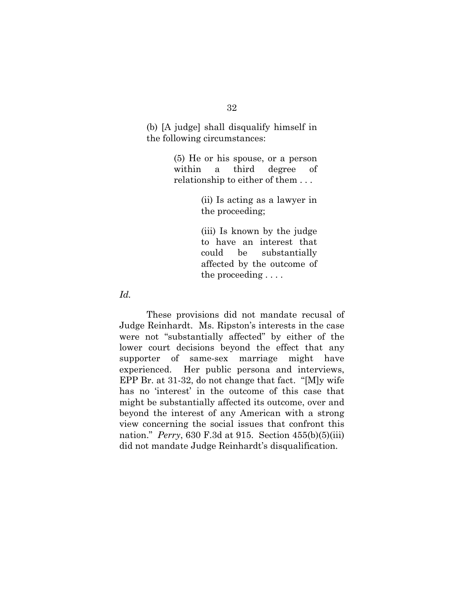(b) [A judge] shall disqualify himself in the following circumstances:

> (5) He or his spouse, or a person within a third degree of relationship to either of them . . .

> > (ii) Is acting as a lawyer in the proceeding;

> > (iii) Is known by the judge to have an interest that could be substantially affected by the outcome of the proceeding . . . .

*Id.* 

These provisions did not mandate recusal of Judge Reinhardt. Ms. Ripston`s interests in the case were not "substantially affected" by either of the lower court decisions beyond the effect that any supporter of same-sex marriage might have experienced. Her public persona and interviews, EPP Br. at  $31-32$ , do not change that fact. "[M]y wife has no 'interest' in the outcome of this case that might be substantially affected its outcome, over and beyond the interest of any American with a strong view concerning the social issues that confront this nation." *Perry*, 630 F.3d at 915. Section 455(b)(5)(iii) did not mandate Judge Reinhardt`s disqualification.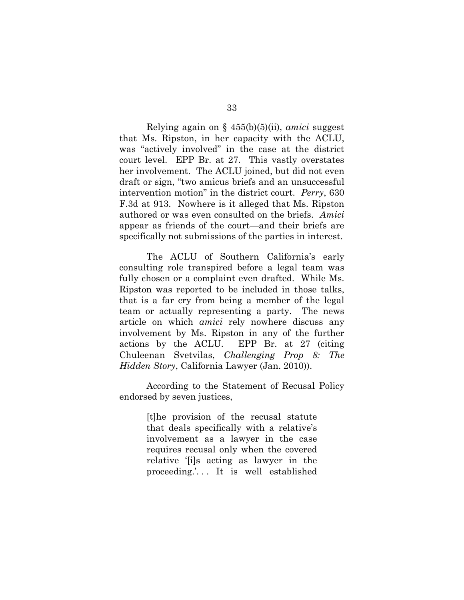Relying again on § 455(b)(5)(ii), *amici* suggest that Ms. Ripston, in her capacity with the ACLU, was "actively involved" in the case at the district court level. EPP Br. at 27. This vastly overstates her involvement. The ACLU joined, but did not even draft or sign, "two amicus briefs and an unsuccessful intervention motion" in the district court. *Perry*, 630 F.3d at 913. Nowhere is it alleged that Ms. Ripston authored or was even consulted on the briefs. *Amici*  appear as friends of the court—and their briefs are specifically not submissions of the parties in interest.

The ACLU of Southern California`s early consulting role transpired before a legal team was fully chosen or a complaint even drafted. While Ms. Ripston was reported to be included in those talks, that is a far cry from being a member of the legal team or actually representing a party. The news article on which *amici* rely nowhere discuss any involvement by Ms. Ripston in any of the further actions by the ACLU. EPP Br. at 27 (citing Chuleenan Svetvilas, *Challenging Prop 8: The Hidden Story*, California Lawyer (Jan. 2010)).

According to the Statement of Recusal Policy endorsed by seven justices,

> [t]he provision of the recusal statute that deals specifically with a relative`s involvement as a lawyer in the case requires recusal only when the covered relative '[i]s acting as lawyer in the proceeding.`. . . It is well established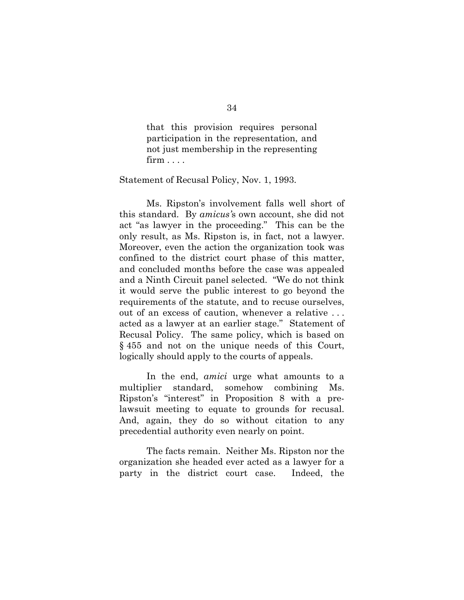that this provision requires personal participation in the representation, and not just membership in the representing  $firm \dots$ 

#### Statement of Recusal Policy, Nov. 1, 1993.

Ms. Ripston`s involvement falls well short of this standard. By *amicus's* own account, she did not act "as lawyer in the proceeding." This can be the only result, as Ms. Ripston is, in fact, not a lawyer. Moreover, even the action the organization took was confined to the district court phase of this matter, and concluded months before the case was appealed and a Ninth Circuit panel selected. "We do not think it would serve the public interest to go beyond the requirements of the statute, and to recuse ourselves, out of an excess of caution, whenever a relative . . . acted as a lawyer at an earlier stage." Statement of Recusal Policy. The same policy, which is based on § 455 and not on the unique needs of this Court, logically should apply to the courts of appeals.

In the end, *amici* urge what amounts to a multiplier standard, somehow combining Ms. Ripston's "interest" in Proposition 8 with a prelawsuit meeting to equate to grounds for recusal. And, again, they do so without citation to any precedential authority even nearly on point.

The facts remain. Neither Ms. Ripston nor the organization she headed ever acted as a lawyer for a party in the district court case. Indeed, the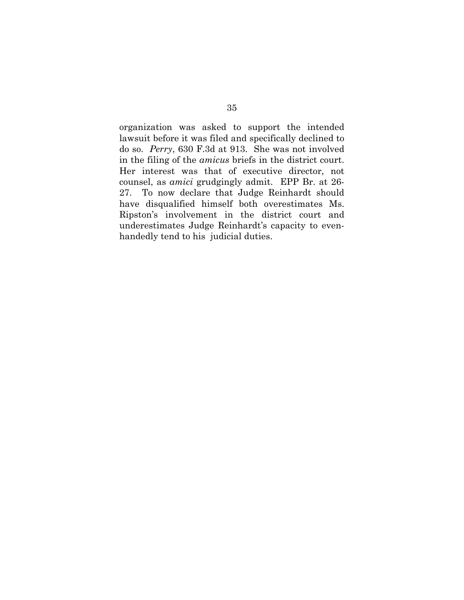organization was asked to support the intended lawsuit before it was filed and specifically declined to do so. *Perry*, 630 F.3d at 913. She was not involved in the filing of the *amicus* briefs in the district court. Her interest was that of executive director, not counsel, as *amici* grudgingly admit. EPP Br. at 26- 27. To now declare that Judge Reinhardt should have disqualified himself both overestimates Ms. Ripston`s involvement in the district court and underestimates Judge Reinhardt`s capacity to evenhandedly tend to his judicial duties.